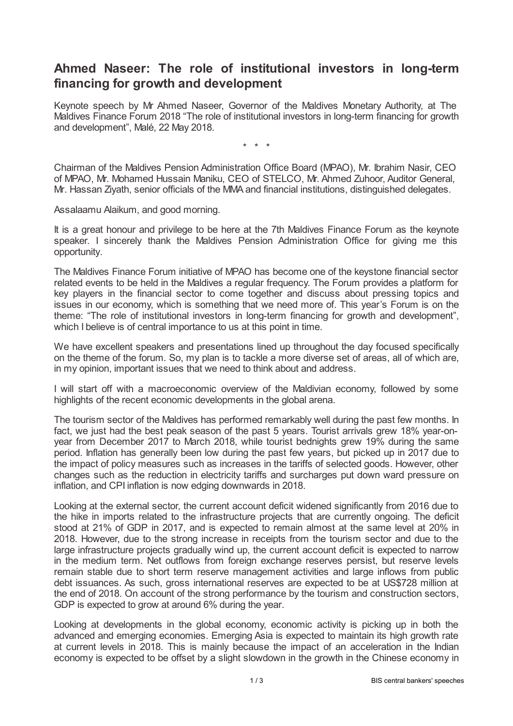## **Ahmed Naseer: The role of institutional investors in long-term financing for growth and development**

Keynote speech by Mr Ahmed Naseer, Governor of the Maldives Monetary Authority, at The Maldives Finance Forum 2018 "The role of institutional investors in long-term financing for growth and development", Malé, 22 May 2018.

\* \* \*

Chairman of the Maldives Pension Administration Office Board (MPAO), Mr. Ibrahim Nasir, CEO of MPAO, Mr. Mohamed Hussain Maniku, CEO of STELCO, Mr. Ahmed Zuhoor, Auditor General, Mr. Hassan Ziyath, senior officials of the MMA and financial institutions, distinguished delegates.

Assalaamu Alaikum, and good morning.

It is a great honour and privilege to be here at the 7th Maldives Finance Forum as the keynote speaker. I sincerely thank the Maldives Pension Administration Office for giving me this opportunity.

The Maldives Finance Forum initiative of MPAO has become one of the keystone financial sector related events to be held in the Maldives a regular frequency. The Forum provides a platform for key players in the financial sector to come together and discuss about pressing topics and issues in our economy, which is something that we need more of. This year's Forum is on the theme: "The role of institutional investors in long-term financing for growth and development", which I believe is of central importance to us at this point in time.

We have excellent speakers and presentations lined up throughout the day focused specifically on the theme of the forum. So, my plan is to tackle a more diverse set of areas, all of which are, in my opinion, important issues that we need to think about and address.

I will start off with a macroeconomic overview of the Maldivian economy, followed by some highlights of the recent economic developments in the global arena.

The tourism sector of the Maldives has performed remarkably well during the past few months. In fact, we just had the best peak season of the past 5 years. Tourist arrivals grew 18% year-onyear from December 2017 to March 2018, while tourist bednights grew 19% during the same period. Inflation has generally been low during the past few years, but picked up in 2017 due to the impact of policy measures such as increases in the tariffs of selected goods. However, other changes such as the reduction in electricity tariffs and surcharges put down ward pressure on inflation, and CPI inflation is now edging downwards in 2018.

Looking at the external sector, the current account deficit widened significantly from 2016 due to the hike in imports related to the infrastructure projects that are currently ongoing. The deficit stood at 21% of GDP in 2017, and is expected to remain almost at the same level at 20% in 2018. However, due to the strong increase in receipts from the tourism sector and due to the large infrastructure projects gradually wind up, the current account deficit is expected to narrow in the medium term. Net outflows from foreign exchange reserves persist, but reserve levels remain stable due to short term reserve management activities and large inflows from public debt issuances. As such, gross international reserves are expected to be at US\$728 million at the end of 2018. On account of the strong performance by the tourism and construction sectors, GDP is expected to grow at around 6% during the year.

Looking at developments in the global economy, economic activity is picking up in both the advanced and emerging economies. Emerging Asia is expected to maintain its high growth rate at current levels in 2018. This is mainly because the impact of an acceleration in the Indian economy is expected to be offset by a slight slowdown in the growth in the Chinese economy in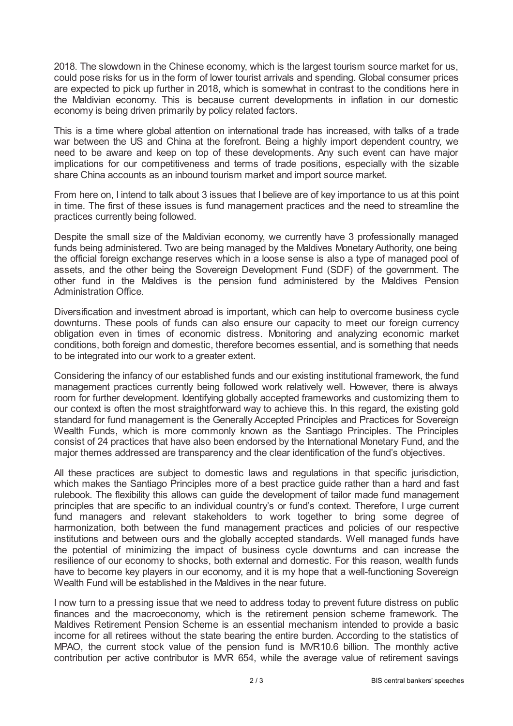2018. The slowdown in the Chinese economy, which is the largest tourism source market for us, could pose risks for us in the form of lower tourist arrivals and spending. Global consumer prices are expected to pick up further in 2018, which is somewhat in contrast to the conditions here in the Maldivian economy. This is because current developments in inflation in our domestic economy is being driven primarily by policy related factors.

This is a time where global attention on international trade has increased, with talks of a trade war between the US and China at the forefront. Being a highly import dependent country, we need to be aware and keep on top of these developments. Any such event can have major implications for our competitiveness and terms of trade positions, especially with the sizable share China accounts as an inbound tourism market and import source market.

From here on, I intend to talk about 3 issues that I believe are of key importance to us at this point in time. The first of these issues is fund management practices and the need to streamline the practices currently being followed.

Despite the small size of the Maldivian economy, we currently have 3 professionally managed funds being administered. Two are being managed by the Maldives Monetary Authority, one being the official foreign exchange reserves which in a loose sense is also a type of managed pool of assets, and the other being the Sovereign Development Fund (SDF) of the government. The other fund in the Maldives is the pension fund administered by the Maldives Pension Administration Office.

Diversification and investment abroad is important, which can help to overcome business cycle downturns. These pools of funds can also ensure our capacity to meet our foreign currency obligation even in times of economic distress. Monitoring and analyzing economic market conditions, both foreign and domestic, therefore becomes essential, and is something that needs to be integrated into our work to a greater extent.

Considering the infancy of our established funds and our existing institutional framework, the fund management practices currently being followed work relatively well. However, there is always room for further development. Identifying globally accepted frameworks and customizing them to our context is often the most straightforward way to achieve this. In this regard, the existing gold standard for fund management is the Generally Accepted Principles and Practices for Sovereign Wealth Funds, which is more commonly known as the Santiago Principles. The Principles consist of 24 practices that have also been endorsed by the International Monetary Fund, and the major themes addressed are transparency and the clear identification of the fund's objectives.

All these practices are subject to domestic laws and regulations in that specific jurisdiction, which makes the Santiago Principles more of a best practice guide rather than a hard and fast rulebook. The flexibility this allows can guide the development of tailor made fund management principles that are specific to an individual country's or fund's context. Therefore, I urge current fund managers and relevant stakeholders to work together to bring some degree of harmonization, both between the fund management practices and policies of our respective institutions and between ours and the globally accepted standards. Well managed funds have the potential of minimizing the impact of business cycle downturns and can increase the resilience of our economy to shocks, both external and domestic. For this reason, wealth funds have to become key players in our economy, and it is my hope that a well-functioning Sovereign Wealth Fund will be established in the Maldives in the near future.

I now turn to a pressing issue that we need to address today to prevent future distress on public finances and the macroeconomy, which is the retirement pension scheme framework. The Maldives Retirement Pension Scheme is an essential mechanism intended to provide a basic income for all retirees without the state bearing the entire burden. According to the statistics of MPAO, the current stock value of the pension fund is MVR10.6 billion. The monthly active contribution per active contributor is MVR 654, while the average value of retirement savings